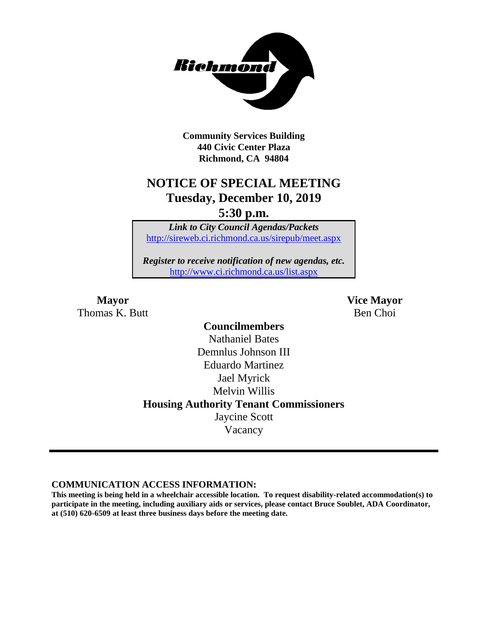

**Community Services Building 440 Civic Center Plaza Richmond, CA 94804**

## **NOTICE OF SPECIAL MEETING Tuesday, December 10, 2019**

**5:30 p.m.**

*Link to City Council Agendas/Packets* <http://sireweb.ci.richmond.ca.us/sirepub/meet.aspx>

*Register to receive notification of new agendas, etc.* <http://www.ci.richmond.ca.us/list.aspx>

Thomas K. Butt Ben Choi

**Mayor Vice Mayor**

**Councilmembers** Nathaniel Bates Demnlus Johnson III Eduardo Martinez Jael Myrick Melvin Willis **Housing Authority Tenant Commissioners** Jaycine Scott Vacancy

**COMMUNICATION ACCESS INFORMATION:**

**This meeting is being held in a wheelchair accessible location. To request disability-related accommodation(s) to participate in the meeting, including auxiliary aids or services, please contact Bruce Soublet, ADA Coordinator, at (510) 620-6509 at least three business days before the meeting date.**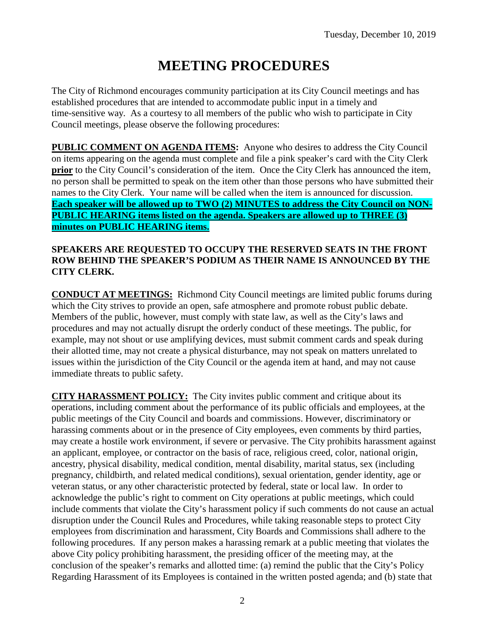# **MEETING PROCEDURES**

The City of Richmond encourages community participation at its City Council meetings and has established procedures that are intended to accommodate public input in a timely and time-sensitive way. As a courtesy to all members of the public who wish to participate in City Council meetings, please observe the following procedures:

**PUBLIC COMMENT ON AGENDA ITEMS:** Anyone who desires to address the City Council on items appearing on the agenda must complete and file a pink speaker's card with the City Clerk **prior** to the City Council's consideration of the item. Once the City Clerk has announced the item, no person shall be permitted to speak on the item other than those persons who have submitted their names to the City Clerk. Your name will be called when the item is announced for discussion. **Each speaker will be allowed up to TWO (2) MINUTES to address the City Council on NON-PUBLIC HEARING items listed on the agenda. Speakers are allowed up to THREE (3) minutes on PUBLIC HEARING items.**

#### **SPEAKERS ARE REQUESTED TO OCCUPY THE RESERVED SEATS IN THE FRONT ROW BEHIND THE SPEAKER'S PODIUM AS THEIR NAME IS ANNOUNCED BY THE CITY CLERK.**

**CONDUCT AT MEETINGS:** Richmond City Council meetings are limited public forums during which the City strives to provide an open, safe atmosphere and promote robust public debate. Members of the public, however, must comply with state law, as well as the City's laws and procedures and may not actually disrupt the orderly conduct of these meetings. The public, for example, may not shout or use amplifying devices, must submit comment cards and speak during their allotted time, may not create a physical disturbance, may not speak on matters unrelated to issues within the jurisdiction of the City Council or the agenda item at hand, and may not cause immediate threats to public safety.

**CITY HARASSMENT POLICY:** The City invites public comment and critique about its operations, including comment about the performance of its public officials and employees, at the public meetings of the City Council and boards and commissions. However, discriminatory or harassing comments about or in the presence of City employees, even comments by third parties, may create a hostile work environment, if severe or pervasive. The City prohibits harassment against an applicant, employee, or contractor on the basis of race, religious creed, color, national origin, ancestry, physical disability, medical condition, mental disability, marital status, sex (including pregnancy, childbirth, and related medical conditions), sexual orientation, gender identity, age or veteran status, or any other characteristic protected by federal, state or local law. In order to acknowledge the public's right to comment on City operations at public meetings, which could include comments that violate the City's harassment policy if such comments do not cause an actual disruption under the Council Rules and Procedures, while taking reasonable steps to protect City employees from discrimination and harassment, City Boards and Commissions shall adhere to the following procedures. If any person makes a harassing remark at a public meeting that violates the above City policy prohibiting harassment, the presiding officer of the meeting may, at the conclusion of the speaker's remarks and allotted time: (a) remind the public that the City's Policy Regarding Harassment of its Employees is contained in the written posted agenda; and (b) state that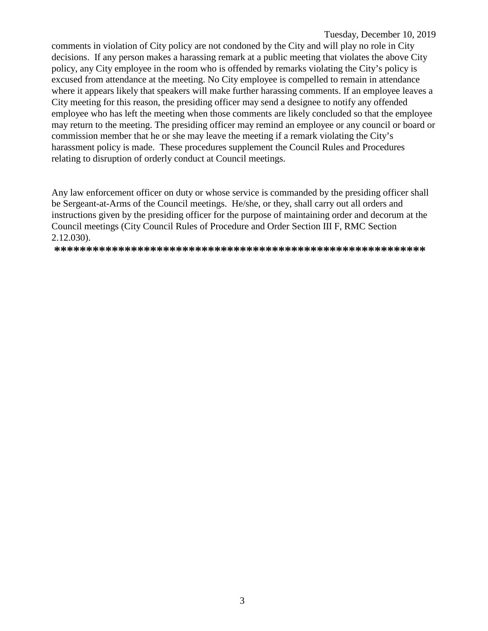Tuesday, December 10, 2019

comments in violation of City policy are not condoned by the City and will play no role in City decisions. If any person makes a harassing remark at a public meeting that violates the above City policy, any City employee in the room who is offended by remarks violating the City's policy is excused from attendance at the meeting. No City employee is compelled to remain in attendance where it appears likely that speakers will make further harassing comments. If an employee leaves a City meeting for this reason, the presiding officer may send a designee to notify any offended employee who has left the meeting when those comments are likely concluded so that the employee may return to the meeting. The presiding officer may remind an employee or any council or board or commission member that he or she may leave the meeting if a remark violating the City's harassment policy is made. These procedures supplement the Council Rules and Procedures relating to disruption of orderly conduct at Council meetings.

Any law enforcement officer on duty or whose service is commanded by the presiding officer shall be Sergeant-at-Arms of the Council meetings. He/she, or they, shall carry out all orders and instructions given by the presiding officer for the purpose of maintaining order and decorum at the Council meetings (City Council Rules of Procedure and Order Section III F, RMC Section  $2.12.030$ ).